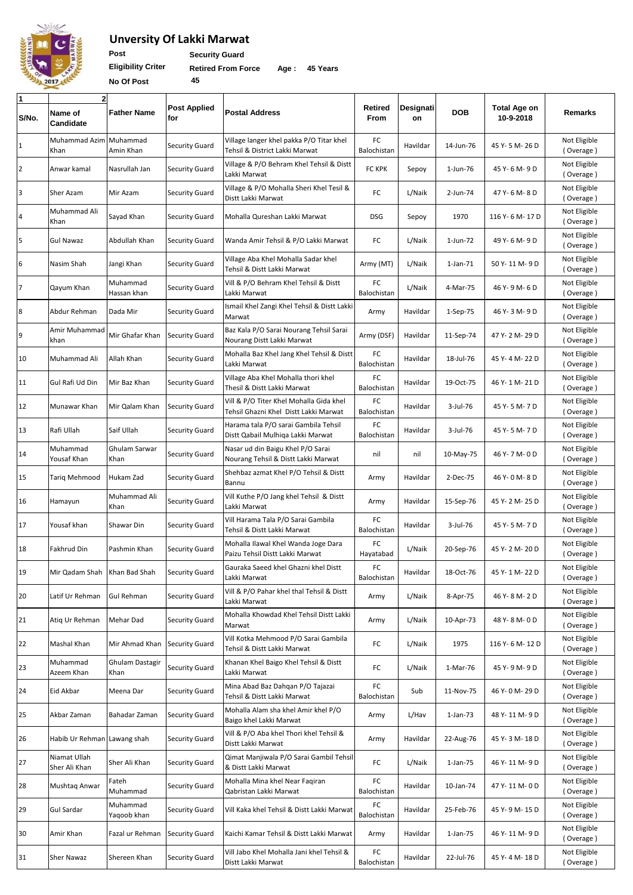

## **Unversity Of Lakki Marwat**

Post **Security Guard** 

**Eligibility Criter No Of Post 45**

 **Retired From Force Age : 45 Years**

| $\mathbf{1}$<br>S/No. | $\overline{2}$<br>Name of<br>Candidate | <b>Father Name</b>      | <b>Post Applied</b><br>for | <b>Postal Address</b>                                                            | <b>Retired</b><br>From | Designati<br>on | <b>DOB</b> | <b>Total Age on</b><br>10-9-2018 | Remarks                   |
|-----------------------|----------------------------------------|-------------------------|----------------------------|----------------------------------------------------------------------------------|------------------------|-----------------|------------|----------------------------------|---------------------------|
| $\mathbf{1}$          | Muhammad Azim<br>Khan                  | Muhammad<br>Amin Khan   | <b>Security Guard</b>      | Village langer khel pakka P/O Titar khel<br>Tehsil & District Lakki Marwat       | FC<br>Balochistan      | Havildar        | 14-Jun-76  | 45 Y-5 M-26 D                    | Not Eligible<br>(Overage) |
| $\overline{2}$        | Anwar kamal                            | Nasrullah Jan           | <b>Security Guard</b>      | Village & P/O Behram Khel Tehsil & Distt<br>Lakki Marwat                         | <b>FC KPK</b>          | Sepoy           | 1-Jun-76   | 45 Y- 6 M- 9 D                   | Not Eligible<br>(Overage) |
| 3                     | Sher Azam                              | Mir Azam                | <b>Security Guard</b>      | Village & P/O Mohalla Sheri Khel Tesil &<br>Distt Lakki Marwat                   | FC                     | L/Naik          | 2-Jun-74   | 47 Y- 6 M- 8 D                   | Not Eligible<br>(Overage) |
| 4                     | Muhammad Ali<br>Khan                   | Sayad Khan              | <b>Security Guard</b>      | Mohalla Qureshan Lakki Marwat                                                    | <b>DSG</b>             | Sepoy           | 1970       | 116 Y-6 M-17 D                   | Not Eligible<br>(Overage) |
| 5                     | <b>Gul Nawaz</b>                       | Abdullah Khan           | <b>Security Guard</b>      | Wanda Amir Tehsil & P/O Lakki Marwat                                             | FC                     | L/Naik          | 1-Jun-72   | 49 Y-6 M-9 D                     | Not Eligible<br>(Overage) |
| 6                     | Nasim Shah                             | Jangi Khan              | <b>Security Guard</b>      | Village Aba Khel Mohalla Sadar khel<br>Tehsil & Distt Lakki Marwat               | Army (MT)              | L/Naik          | 1-Jan-71   | 50 Y- 11 M- 9 D                  | Not Eligible<br>(Overage) |
| $\overline{7}$        | Qayum Khan                             | Muhammad<br>Hassan khan | <b>Security Guard</b>      | Vill & P/O Behram Khel Tehsil & Distt<br>Lakki Marwat                            | FC<br>Balochistan      | L/Naik          | 4-Mar-75   | 46 Y-9 M-6 D                     | Not Eligible<br>(Overage) |
| $8\phantom{1}$        | Abdur Rehman                           | Dada Mir                | Security Guard             | Ismail Khel Zangi Khel Tehsil & Distt Lakki<br>Marwat                            | Army                   | Havildar        | 1-Sep-75   | 46 Y-3 M-9 D                     | Not Eligible<br>(Overage) |
| 9                     | Amir Muhammad<br>khan                  | Mir Ghafar Khan         | <b>Security Guard</b>      | Baz Kala P/O Sarai Nourang Tehsil Sarai<br>Nourang Distt Lakki Marwat            | Army (DSF)             | Havildar        | 11-Sep-74  | 47 Y- 2 M- 29 D                  | Not Eligible<br>(Overage) |
| 10                    | Muhammad Ali                           | Allah Khan              | <b>Security Guard</b>      | Mohalla Baz Khel Jang Khel Tehsil & Distt<br>Lakki Marwat                        | FC<br>Balochistan      | Havildar        | 18-Jul-76  | 45 Y-4 M-22 D                    | Not Eligible<br>(Overage) |
| 11                    | Gul Rafi Ud Din                        | Mir Baz Khan            | <b>Security Guard</b>      | Village Aba Khel Mohalla thori khel<br>Thesil & Distt Lakki Marwat               | FC<br>Balochistan      | Havildar        | 19-Oct-75  | 46 Y-1M-21D                      | Not Eligible<br>(Overage) |
| 12                    | Munawar Khan                           | Mir Qalam Khan          | <b>Security Guard</b>      | Vill & P/O Titer Khel Mohalla Gida khel<br>Tehsil Ghazni Khel Distt Lakki Marwat | FC<br>Balochistan      | Havildar        | 3-Jul-76   | 45 Y-5 M-7 D                     | Not Eligible<br>(Overage) |
| 13                    | Rafi Ullah                             | Saif Ullah              | <b>Security Guard</b>      | Harama tala P/O sarai Gambila Tehsil<br>Distt Qabail Mulhiqa Lakki Marwat        | FC<br>Balochistan      | Havildar        | 3-Jul-76   | 45 Y- 5 M- 7 D                   | Not Eligible<br>(Overage) |
| 14                    | Muhammad<br>Yousaf Khan                | Ghulam Sarwar<br>Khan   | <b>Security Guard</b>      | Nasar ud din Baigu Khel P/O Sarai<br>Nourang Tehsil & Distt Lakki Marwat         | nil                    | nil             | 10-May-75  | 46 Y-7 M-0D                      | Not Eligible<br>(Overage) |
| 15                    | Tariq Mehmood                          | Hukam Zad               | <b>Security Guard</b>      | Shehbaz azmat Khel P/O Tehsil & Distt<br>Bannu                                   | Army                   | Havildar        | 2-Dec-75   | 46 Y-0 M-8 D                     | Not Eligible<br>(Overage) |
| 16                    | Hamayun                                | Muhammad Ali<br>Khan    | <b>Security Guard</b>      | Vill Kuthe P/O Jang khel Tehsil & Distt<br>Lakki Marwat                          | Army                   | Havildar        | 15-Sep-76  | 45 Y- 2 M- 25 D                  | Not Eligible<br>(Overage) |
| 17                    | Yousaf khan                            | Shawar Din              | <b>Security Guard</b>      | Vill Harama Tala P/O Sarai Gambila<br>Tehsil & Distt Lakki Marwat                | FC<br>Balochistan      | Havildar        | 3-Jul-76   | 45 Y-5 M-7 D                     | Not Eligible<br>(Overage) |
| 18                    | Fakhrud Din                            | Pashmin Khan            | <b>Security Guard</b>      | Mohalla Ilawal Khel Wanda Joge Dara<br>Paizu Tehsil Distt Lakki Marwat           | FC<br>Hayatabad        | L/Naik          | 20-Sep-76  | 45 Y-2 M-20 D                    | Not Eligible<br>(Overage) |
| 19                    | Mir Qadam Shah Khan Bad Shah           |                         | <b>Security Guard</b>      | Gauraka Saeed khel Ghazni khel Distt<br>Lakki Marwat                             | FC<br>Balochistan      | Havildar        | 18-Oct-76  | 45 Y- 1 M- 22 D                  | Not Eligible<br>(Overage) |
| 20                    | Latif Ur Rehman                        | Gul Rehman              | <b>Security Guard</b>      | Vill & P/O Pahar khel thal Tehsil & Distt<br>Lakki Marwat                        | Army                   | L/Naik          | 8-Apr-75   | 46 Y-8 M-2D                      | Not Eligible<br>(Overage) |
| 21                    | Atiq Ur Rehman                         | Mehar Dad               | <b>Security Guard</b>      | Mohalla Khowdad Khel Tehsil Distt Lakki<br>Marwat                                | Army                   | L/Naik          | 10-Apr-73  | 48 Y-8 M-0 D                     | Not Eligible<br>(Overage) |
| 22                    | Mashal Khan                            | Mir Ahmad Khan          | <b>Security Guard</b>      | Vill Kotka Mehmood P/O Sarai Gambila<br>Tehsil & Distt Lakki Marwat              | FC                     | L/Naik          | 1975       | 116 Y-6 M-12 D                   | Not Eligible<br>(Overage) |
| 23                    | Muhammad<br>Azeem Khan                 | Ghulam Dastagir<br>Khan | <b>Security Guard</b>      | Khanan Khel Baigo Khel Tehsil & Distt<br>Lakki Marwat                            | FC                     | L/Naik          | 1-Mar-76   | 45 Y-9 M-9 D                     | Not Eligible<br>(Overage) |
| 24                    | Eid Akbar                              | Meena Dar               | <b>Security Guard</b>      | Mina Abad Baz Dahqan P/O Tajazai<br>Tehsil & Distt Lakki Marwat                  | FC<br>Balochistan      | Sub             | 11-Nov-75  | 46 Y-0 M-29 D                    | Not Eligible<br>(Overage) |
| 25                    | Akbar Zaman                            | Bahadar Zaman           | <b>Security Guard</b>      | Mohalla Alam sha khel Amir khel P/O<br>Baigo khel Lakki Marwat                   | Army                   | L/Hav           | 1-Jan-73   | 48 Y-11 M-9D                     | Not Eligible<br>(Overage) |
| 26                    | Habib Ur Rehman Lawang shah            |                         | <b>Security Guard</b>      | Vill & P/O Aba khel Thori khel Tehsil &<br>Distt Lakki Marwat                    | Army                   | Havildar        | 22-Aug-76  | 45 Y-3 M-18 D                    | Not Eligible<br>(Overage) |
| 27                    | Niamat Ullah<br>Sher Ali Khan          | Sher Ali Khan           | <b>Security Guard</b>      | Qimat Manjiwala P/O Sarai Gambil Tehsil<br>& Distt Lakki Marwat                  | FC                     | L/Naik          | 1-Jan-75   | 46 Y-11 M-9 D                    | Not Eligible<br>(Overage) |
| 28                    | Mushtaq Anwar                          | Fateh<br>Muhammad       | <b>Security Guard</b>      | Mohalla Mina khel Near Fagiran<br>Qabristan Lakki Marwat                         | FC<br>Balochistan      | Havildar        | 10-Jan-74  | 47 Y-11 M-0 D                    | Not Eligible<br>(Overage) |
| 29                    | Gul Sardar                             | Muhammad<br>Yaqoob khan | <b>Security Guard</b>      | Vill Kaka khel Tehsil & Distt Lakki Marwat                                       | FC<br>Balochistan      | Havildar        | 25-Feb-76  | 45 Y-9 M-15 D                    | Not Eligible<br>(Overage) |
| 30                    | Amir Khan                              | Fazal ur Rehman         | <b>Security Guard</b>      | Kaichi Kamar Tehsil & Distt Lakki Marwat                                         | Army                   | Havildar        | 1-Jan-75   | 46 Y-11 M-9 D                    | Not Eligible<br>(Overage) |
| 31                    | Sher Nawaz                             | Shereen Khan            | <b>Security Guard</b>      | Vill Jabo Khel Mohalla Jani khel Tehsil &<br>Distt Lakki Marwat                  | FC<br>Balochistan      | Havildar        | 22-Jul-76  | 45 Y-4 M-18 D                    | Not Eligible<br>(Overage) |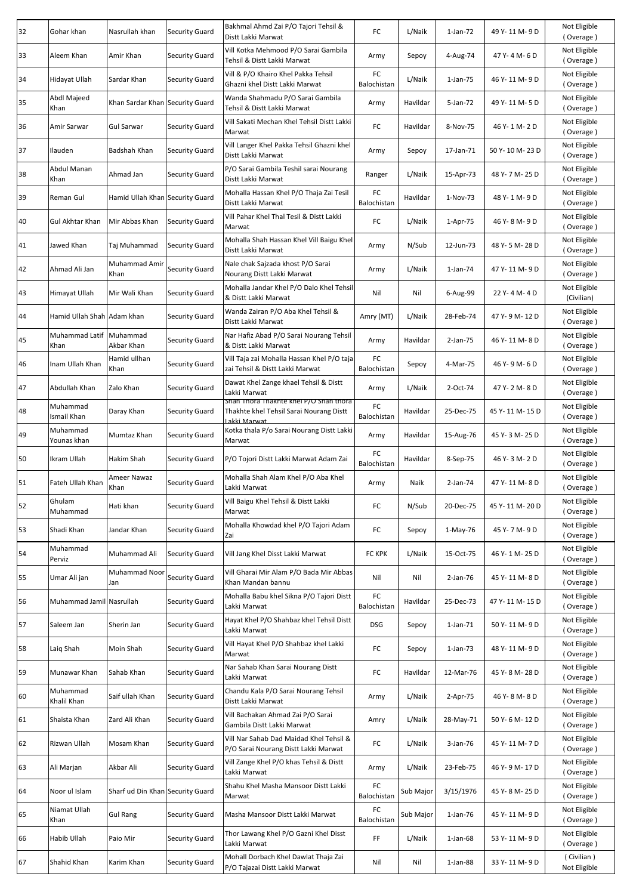| 32 | Gohar khan                 | Nasrullah khan                   | <b>Security Guard</b> | Bakhmal Ahmd Zai P/O Tajori Tehsil &<br>Distt Lakki Marwat                                       | FC                | L/Naik    | 1-Jan-72       | 49 Y-11 M-9D    | Not Eligible<br>(Overage)  |
|----|----------------------------|----------------------------------|-----------------------|--------------------------------------------------------------------------------------------------|-------------------|-----------|----------------|-----------------|----------------------------|
| 33 | Aleem Khan                 | Amir Khan                        | <b>Security Guard</b> | Vill Kotka Mehmood P/O Sarai Gambila<br>Tehsil & Distt Lakki Marwat                              | Army              | Sepoy     | 4-Aug-74       | 47 Y-4 M-6 D    | Not Eligible<br>(Overage)  |
| 34 | Hidayat Ullah              | Sardar Khan                      | <b>Security Guard</b> | Vill & P/O Khairo Khel Pakka Tehsil<br>Ghazni khel Distt Lakki Marwat                            | FC<br>Balochistan | L/Naik    | 1-Jan-75       | 46 Y-11 M-9D    | Not Eligible<br>(Overage)  |
| 35 | Abdl Majeed<br>Khan        | Khan Sardar Khan Security Guard  |                       | Wanda Shahmadu P/O Sarai Gambila<br>Tehsil & Distt Lakki Marwat                                  | Army              | Havildar  | 5-Jan-72       | 49 Y-11 M-5D    | Not Eligible<br>(Overage)  |
| 36 | Amir Sarwar                | <b>Gul Sarwar</b>                | <b>Security Guard</b> | Vill Sakati Mechan Khel Tehsil Distt Lakki<br>Marwat                                             | FC                | Havildar  | 8-Nov-75       | 46 Y-1 M-2D     | Not Eligible<br>(Overage)  |
| 37 | Ilauden                    | Badshah Khan                     | <b>Security Guard</b> | Vill Langer Khel Pakka Tehsil Ghazni khel<br>Distt Lakki Marwat                                  | Army              | Sepoy     | 17-Jan-71      | 50 Y-10 M-23 D  | Not Eligible<br>(Overage)  |
| 38 | Abdul Manan<br>Khan        | Ahmad Jan                        | <b>Security Guard</b> | P/O Sarai Gambila Teshil sarai Nourang<br>Distt Lakki Marwat                                     | Ranger            | L/Naik    | 15-Apr-73      | 48 Y-7 M-25 D   | Not Eligible<br>(Overage)  |
| 39 | Reman Gul                  | Hamid Ullah Khan Security Guard  |                       | Mohalla Hassan Khel P/O Thaja Zai Tesil<br>Distt Lakki Marwat                                    | FC<br>Balochistan | Havildar  | 1-Nov-73       | 48 Y-1 M-9 D    | Not Eligible<br>(Overage)  |
| 40 | Gul Akhtar Khan            | Mir Abbas Khan                   | <b>Security Guard</b> | Vill Pahar Khel Thal Tesil & Distt Lakki<br>Marwat                                               | FC                | L/Naik    | 1-Apr-75       | 46 Y-8 M-9 D    | Not Eligible<br>(Overage)  |
| 41 | Jawed Khan                 | Taj Muhammad                     | <b>Security Guard</b> | Mohalla Shah Hassan Khel Vill Baigu Khel<br>Distt Lakki Marwat                                   | Army              | N/Sub     | 12-Jun-73      | 48 Y-5 M-28 D   | Not Eligible<br>(Overage)  |
| 42 | Ahmad Ali Jan              | Muhammad Amir<br>Khan            | <b>Security Guard</b> | Nale chak Sajzada khost P/O Sarai<br>Nourang Distt Lakki Marwat                                  | Army              | L/Naik    | 1-Jan-74       | 47 Y-11 M-9D    | Not Eligible<br>(Overage)  |
| 43 | Himayat Ullah              | Mir Wali Khan                    | <b>Security Guard</b> | Mohalla Jandar Khel P/O Dalo Khel Tehsil<br>& Distt Lakki Marwat                                 | Nil               | Nil       | 6-Aug-99       | 22 Y-4 M-4 D    | Not Eligible<br>(Civilian) |
| 44 | Hamid Ullah Shah Adam khan |                                  | <b>Security Guard</b> | Wanda Zairan P/O Aba Khel Tehsil &<br>Distt Lakki Marwat                                         | Amry (MT)         | L/Naik    | 28-Feb-74      | 47 Y-9 M-12 D   | Not Eligible<br>(Overage)  |
| 45 | Muhammad Latif<br>Khan     | Muhammad<br>Akbar Khan           | <b>Security Guard</b> | Nar Hafiz Abad P/O Sarai Nourang Tehsil<br>& Distt Lakki Marwat                                  | Army              | Havildar  | 2-Jan-75       | 46 Y-11 M-8D    | Not Eligible<br>(Overage)  |
| 46 | Inam Ullah Khan            | Hamid ullhan<br>Khan             | <b>Security Guard</b> | Vill Taja zai Mohalla Hassan Khel P/O taja<br>zai Tehsil & Distt Lakki Marwat                    | FC<br>Balochistan | Sepoy     | 4-Mar-75       | 46 Y-9 M-6D     | Not Eligible<br>(Overage)  |
| 47 | Abdullah Khan              | Zalo Khan                        | <b>Security Guard</b> | Dawat Khel Zange khael Tehsil & Distt<br>Lakki Marwat                                            | Army              | L/Naik    | 2-Oct-74       | 47 Y-2 M-8 D    | Not Eligible<br>(Overage)  |
| 48 | Muhammad<br>Ismail Khan    | Daray Khan                       | <b>Security Guard</b> | Shah Thora Thakhte khel P/O Shah thora<br>Thakhte khel Tehsil Sarai Nourang Distt<br>akki Marwat | FC<br>Balochistan | Havildar  | 25-Dec-75      | 45 Y-11 M-15 D  | Not Eligible<br>(Overage)  |
| 49 | Muhammad<br>Younas khan    | Mumtaz Khan                      | <b>Security Guard</b> | Kotka thala P/o Sarai Nourang Distt Lakki<br>Marwat                                              | Army              | Havildar  | 15-Aug-76      | 45 Y-3 M-25 D   | Not Eligible<br>(Overage)  |
| 50 | Ikram Ullah                | Hakim Shah                       | <b>Security Guard</b> | P/O Tojori Distt Lakki Marwat Adam Zai                                                           | FC<br>Balochistan | Havildar  | 8-Sep-75       | 46 Y-3 M-2 D    | Not Eligible<br>(Overage)  |
| 51 | Fateh Ullah Khan           | Ameer Nawaz<br>Khan              | <b>Security Guard</b> | Mohalla Shah Alam Khel P/O Aba Khel<br>Lakki Marwat                                              | Army              | Naik      | 2-Jan-74       | 47 Y-11 M-8D    | Not Eligible<br>(Overage)  |
| 52 | Ghulam<br>Muhammad         | Hati khan                        | Security Guard        | Vill Baigu Khel Tehsil & Distt Lakki<br>Marwat                                                   | FC                | N/Sub     | 20-Dec-75      | 45 Y-11 M-20 D  | Not Eligible<br>(Overage)  |
| 53 | Shadi Khan                 | Jandar Khan                      | <b>Security Guard</b> | Mohalla Khowdad khel P/O Tajori Adam<br>Zai                                                      | FC                | Sepoy     | 1-May-76       | 45 Y-7 M-9 D    | Not Eligible<br>(Overage)  |
| 54 | Muhammad<br>Perviz         | Muhammad Ali                     | <b>Security Guard</b> | Vill Jang Khel Disst Lakki Marwat                                                                | <b>FC KPK</b>     | L/Naik    | 15-Oct-75      | 46 Y-1 M-25 D   | Not Eligible<br>(Overage)  |
| 55 | Umar Ali jan               | Muhammad Noor<br>Jan             | <b>Security Guard</b> | Vill Gharai Mir Alam P/O Bada Mir Abbas<br>Khan Mandan bannu                                     | Nil               | Nil       | 2-Jan-76       | 45 Y-11 M-8D    | Not Eligible<br>(Overage)  |
| 56 | Muhammad Jamil Nasrullah   |                                  | Security Guard        | Mohalla Babu khel Sikna P/O Tajori Distt<br>Lakki Marwat                                         | FC<br>Balochistan | Havildar  | 25-Dec-73      | 47 Y-11 M-15 D  | Not Eligible<br>(Overage)  |
| 57 | Saleem Jan                 | Sherin Jan                       | <b>Security Guard</b> | Hayat Khel P/O Shahbaz khel Tehsil Distt<br>Lakki Marwat                                         | <b>DSG</b>        | Sepoy     | $1$ -Jan-71    | 50 Y-11 M-9D    | Not Eligible<br>(Overage)  |
| 58 | Laig Shah                  | Moin Shah                        | <b>Security Guard</b> | Vill Hayat Khel P/O Shahbaz khel Lakki<br>Marwat                                                 | FC                | Sepoy     | 1-Jan-73       | 48 Y-11 M-9D    | Not Eligible<br>(Overage)  |
| 59 | Munawar Khan               | Sahab Khan                       | <b>Security Guard</b> | Nar Sahab Khan Sarai Nourang Distt<br>Lakki Marwat                                               | FC                | Havildar  | 12-Mar-76      | 45 Y-8 M-28 D   | Not Eligible<br>(Overage)  |
| 60 | Muhammad<br>Khalil Khan    | Saif ullah Khan                  | <b>Security Guard</b> | Chandu Kala P/O Sarai Nourang Tehsil<br>Distt Lakki Marwat                                       | Army              | L/Naik    | 2-Apr-75       | 46 Y-8 M-8 D    | Not Eligible<br>(Overage)  |
| 61 | Shaista Khan               | Zard Ali Khan                    | <b>Security Guard</b> | Vill Bachakan Ahmad Zai P/O Sarai<br>Gambila Distt Lakki Marwat                                  | Amry              | L/Naik    | 28-May-71      | 50 Y- 6 M- 12 D | Not Eligible<br>(Overage)  |
| 62 | Rizwan Ullah               | Mosam Khan                       | <b>Security Guard</b> | Vill Nar Sahab Dad Maidad Khel Tehsil &<br>P/O Sarai Nourang Distt Lakki Marwat                  | FC                | L/Naik    | 3-Jan-76       | 45 Y-11 M-7D    | Not Eligible<br>(Overage)  |
| 63 | Ali Marjan                 | Akbar Ali                        | <b>Security Guard</b> | Vill Zange Khel P/O khas Tehsil & Distt<br>Lakki Marwat                                          | Army              | L/Naik    | 23-Feb-75      | 46 Y-9 M-17 D   | Not Eligible<br>(Overage)  |
| 64 | Noor ul Islam              | Sharf ud Din Khan Security Guard |                       | Shahu Khel Masha Mansoor Distt Lakki<br>Marwat                                                   | FC<br>Balochistan | Sub Major | 3/15/1976      | 45 Y-8 M-25 D   | Not Eligible<br>(Overage)  |
| 65 | Niamat Ullah<br>Khan       | <b>Gul Rang</b>                  | <b>Security Guard</b> | Masha Mansoor Distt Lakki Marwat                                                                 | FC<br>Balochistan | Sub Major | 1-Jan-76       | 45 Y-11 M-9D    | Not Eligible<br>(Overage)  |
| 66 | Habib Ullah                | Paio Mir                         | <b>Security Guard</b> | Thor Lawang Khel P/O Gazni Khel Disst<br>Lakki Marwat                                            | FF                | L/Naik    | $1$ -Jan- $68$ | 53 Y-11 M-9D    | Not Eligible<br>(Overage)  |
| 67 | Shahid Khan                | Karim Khan                       | <b>Security Guard</b> | Mohall Dorbach Khel Dawlat Thaja Zai<br>P/O Tajazai Distt Lakki Marwat                           | Nil               | Nil       | $1$ -Jan-88    | 33 Y-11 M-9 D   | (Civilian)<br>Not Eligible |